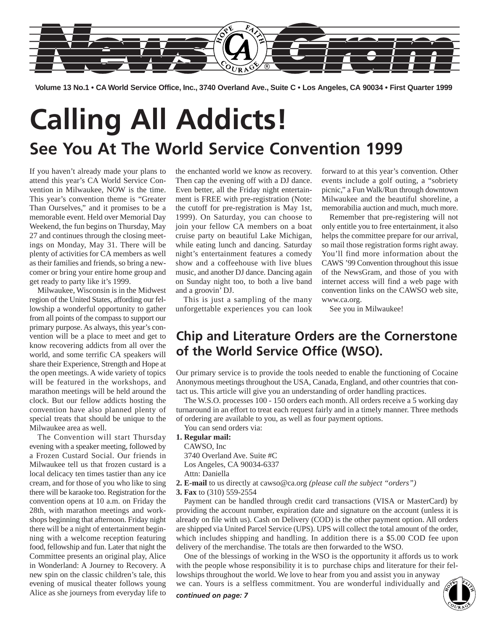

**Volume 13 No.1 • CA World Service Office, Inc., 3740 Overland Ave., Suite C • Los Angeles, CA 90034 • First Quarter 1999**

# **Calling All Addicts! See You At The World Service Convention 1999**

If you haven't already made your plans to attend this year's CA World Service Convention in Milwaukee, NOW is the time. This year's convention theme is "Greater Than Ourselves," and it promises to be a memorable event. Held over Memorial Day Weekend, the fun begins on Thursday, May 27 and continues through the closing meetings on Monday, May 31. There will be plenty of activities for CA members as well as their families and friends, so bring a newcomer or bring your entire home group and get ready to party like it's 1999.

Milwaukee, Wisconsin is in the Midwest region of the United States, affording our fellowship a wonderful opportunity to gather from all points of the compass to support our primary purpose. As always, this year's convention will be a place to meet and get to know recovering addicts from all over the world, and some terrific CA speakers will share their Experience, Strength and Hope at the open meetings. A wide variety of topics will be featured in the workshops, and marathon meetings will be held around the clock. But our fellow addicts hosting the convention have also planned plenty of special treats that should be unique to the Milwaukee area as well.

The Convention will start Thursday evening with a speaker meeting, followed by a Frozen Custard Social. Our friends in Milwaukee tell us that frozen custard is a local delicacy ten times tastier than any ice cream, and for those of you who like to sing there will be karaoke too. Registration for the convention opens at 10 a.m. on Friday the 28th, with marathon meetings and workshops beginning that afternoon. Friday night there will be a night of entertainment beginning with a welcome reception featuring food, fellowship and fun. Later that night the Committee presents an original play, Alice in Wonderland: A Journey to Recovery. A new spin on the classic children's tale, this evening of musical theater follows young Alice as she journeys from everyday life to

the enchanted world we know as recovery. Then cap the evening off with a DJ dance. Even better, all the Friday night entertainment is FREE with pre-registration (Note: the cutoff for pre-registration is May 1st, 1999). On Saturday, you can choose to join your fellow CA members on a boat cruise party on beautiful Lake Michigan, while eating lunch and dancing. Saturday night's entertainment features a comedy show and a coffeehouse with live blues music, and another DJ dance. Dancing again on Sunday night too, to both a live band and a groovin' DJ.

This is just a sampling of the many unforgettable experiences you can look

forward to at this year's convention. Other events include a golf outing, a "sobriety picnic," a Fun Walk/Run through downtown Milwaukee and the beautiful shoreline, a memorabilia auction and much, much more.

Remember that pre-registering will not only entitle you to free entertainment, it also helps the committee prepare for our arrival, so mail those registration forms right away. You'll find more information about the CAWS '99 Convention throughout this issue of the NewsGram, and those of you with internet access will find a web page with convention links on the CAWSO web site, www.ca.org.

See you in Milwaukee!

## **Chip and Literature Orders are the Cornerstone of the World Service Office (WSO).**

Our primary service is to provide the tools needed to enable the functioning of Cocaine Anonymous meetings throughout the USA, Canada, England, and other countries that contact us. This article will give you an understanding of order handling practices.

The W.S.O. processes 100 - 150 orders each month. All orders receive a 5 working day turnaround in an effort to treat each request fairly and in a timely manner. Three methods of ordering are available to you, as well as four payment options.

You can send orders via:

### **1. Regular mail:**

CAWSO, Inc 3740 Overland Ave. Suite #C Los Angeles, CA 90034-6337 Attn: Daniella

- **2. E-mail** to us directly at cawso@ca.org *(please call the subject "orders")*
- **3. Fax** to (310) 559-2554

Payment can be handled through credit card transactions (VISA or MasterCard) by providing the account number, expiration date and signature on the account (unless it is already on file with us). Cash on Delivery (COD) is the other payment option. All orders are shipped via United Parcel Service (UPS). UPS will collect the total amount of the order, which includes shipping and handling. In addition there is a \$5.00 COD fee upon delivery of the merchandise. The totals are then forwarded to the WSO.

One of the blessings of working in the WSO is the opportunity it affords us to work with the people whose responsibility it is to purchase chips and literature for their fellowships throughout the world. We love to hear from you and assist you in anyway we can. Yours is a selfless commitment. You are wonderful individually and lowships throughout the world. We love to hear from you and assist you in anyway we can. Yours is a selfless commitment. You are wonderful individually and **continued on page: 7 1** 

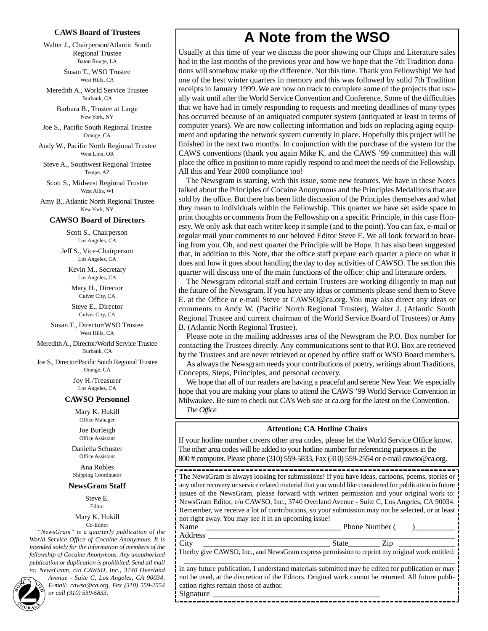### **CAWS Board of Trustees**

Walter J., Chairperson/Atlantic South Regional Trustee Baton Rouge, LA

> Susan T., WSO Trustee West Hills, CA

Meredith A., World Service Trustee Burbank, CA

> Barbara B., Trustee at Large New York, NY

Joe S., Pacific South Regional Trustee Orange, CA

Andy W., Pacific North Regional Trustee West Linn, OR

Steve A., Southwest Regional Trustee Tempe, AZ

Scott S., Midwest Regional Trustee West Allis, WI

Amy B., Atlantic North Regional Trustee New York, NY

### **CAWSO Board of Directors**

Scott S., Chairperson Los Angeles, CA

Jeff S., Vice-Chairperson Los Angeles, CA

Kevin M., Secretary Los Angeles, CA

Mary H., Director Culver City, CA

Steve E., Director Culver City, CA

Susan T., Director/WSO Trustee West Hills, CA

Meredith A., Director/World Service Trustee Burbank, CA

Joe S., Director/Pacific South Regional Trustee Orange, CA

> Joy H./Treasurer Los Angeles, CA

### **CAWSO Personnel**

Mary K. Hukill Office Manager

Joe Burleigh Office Assistant

Daniella Schuster Office Assistant

Ana Robles Shipping Coordinator

### **NewsGram Staff**

Steve E. **Editor** 

#### Mary K. Hukill Co-Editor

*"NewsGram" is a quarterly publication of the World Service Office of Cocaine Anonymous. It is intended solely for the information of members of the fellowship of Cocaine Anonymous. Any unauthorized publication or duplication is prohibited. Send all mail*

*to: NewsGram, c/o CAWSO, Inc., 3740 Overland Avenue - Suite C, Los Angeles, CA 90034, E-mail: cawso@ca.org, Fax (310) 559-2554* **2** *or call (310) 559-5833.*

## **A Note from the WSO**

Usually at this time of year we discuss the poor showing our Chips and Literature sales had in the last months of the previous year and how we hope that the 7th Tradition donations will somehow make up the difference. Not this time. Thank you Fellowship! We had one of the best winter quarters in memory and this was followed by solid 7th Tradition receipts in January 1999. We are now on track to complete some of the projects that usually wait until after the World Service Convention and Conference. Some of the difficulties that we have had in timely responding to requests and meeting deadlines of many types has occurred because of an antiquated computer system (antiquated at least in terms of computer years). We are now collecting information and bids on replacing aging equipment and updating the network system currently in place. Hopefully this project will be finished in the next two months. In conjunction with the purchase of the system for the CAWS conventions (thank you again Mike K. and the CAWS '99 committee) this will place the office in position to more rapidly respond to and meet the needs of the Fellowship. All this and Year 2000 compliance too!

The Newsgram is starting, with this issue, some new features. We have in these Notes talked about the Principles of Cocaine Anonymous and the Principles Medallions that are sold by the office. But there has been little discussion of the Principles themselves and what they mean to individuals within the Fellowship. This quarter we have set aside space to print thoughts or comments from the Fellowship on a specific Principle, in this case Honesty. We only ask that each writer keep it simple (and to the point). You can fax, e-mail or regular mail your comments to our beloved Editor Steve E. We all look forward to hearing from you. Oh, and next quarter the Principle will be Hope. It has also been suggested that, in addition to this Note, that the office staff prepare each quarter a piece on what it does and how it goes about handling the day to day activities of CAWSO. The section this quarter will discuss one of the main functions of the office: chip and literature orders.

The Newsgram editorial staff and certain Trustees are working diligently to map out the future of the Newsgram. If you have any ideas or comments please send them to Steve E. at the Office or e-mail Steve at CAWSO@ca.org. You may also direct any ideas or comments to Andy W. (Pacific North Regional Trustee), Walter J. (Atlantic South Regional Trustee and current chairman of the World Service Board of Trustees) or Amy B. (Atlantic North Regional Trustee).

Please note in the mailing addresses area of the Newsgram the P.O. Box number for contacting the Trustees directly. Any communications sent to that P.O. Box are retrieved by the Trustees and are never retrieved or opened by office staff or WSO Board members.

As always the Newsgram needs your contributions of poetry, writings about Traditions, Concepts, Steps, Principles, and personal recovery.

We hope that all of our readers are having a peaceful and serene New Year. We especially hope that you are making your plans to attend the CAWS '99 World Service Convention in Milwaukee. Be sure to check out CA's Web site at ca.org for the latest on the Convention. *The Office*

### **Attention: CA Hotline Chairs**

If your hotline number covers other area codes, please let the World Service Office know. The other area codes will be added to your hotline number for referencing purposes in the 800 # computer. Please phone (310) 559-5833, Fax (310) 559-2554 or e-mail cawso@ca.org.

--------------------------------------The NewsGram is always looking for submissions! If you have ideas, cartoons, poems, stories or any other recovery or service related material that you would like considered for publication in future issues of the NewsGram, please forward with written permission and your original work to: NewsGram Editor, c/o CAWSO, Inc., 3740 Overland Avenue - Suite C, Los Angeles, CA 90034. Remember, we receive a lot of contributions, so your submission may not be selected, or at least not right away. You may see it in an upcoming issue!

Name \_\_\_\_\_\_\_\_\_\_\_\_\_\_\_\_\_\_\_\_\_\_\_\_\_\_\_\_\_\_\_\_\_\_ Phone Number ( )\_\_\_\_\_\_\_\_\_\_ Address \_\_\_\_\_\_\_\_\_\_\_\_\_\_\_\_\_\_\_\_\_\_\_\_\_\_\_\_\_\_\_\_\_\_\_\_\_\_\_\_\_\_\_\_\_\_\_\_\_\_\_\_\_\_\_\_\_\_\_\_\_\_

City \_\_\_\_\_\_\_\_\_\_\_\_\_\_\_\_\_\_\_\_\_\_\_\_\_\_\_\_\_\_\_\_ State\_\_\_\_\_\_\_\_ Zip \_\_\_\_\_\_\_\_\_\_\_\_\_\_ I herby give CAWSO, Inc., and NewsGram express permission to reprint my original work entitled: \_\_\_\_\_\_\_\_\_\_\_\_\_\_\_\_\_\_\_\_\_\_\_\_\_\_\_\_\_\_\_\_\_\_\_\_\_\_\_\_\_\_\_\_\_\_\_\_\_\_\_\_\_\_\_\_\_\_\_\_\_\_\_\_\_\_\_\_

in any future publication. I understand materials submitted may be edited for publication or may not be used, at the discretion of the Editors. Original work cannot be returned. All future publication rights remain those of author.

-----------------------------------

Signature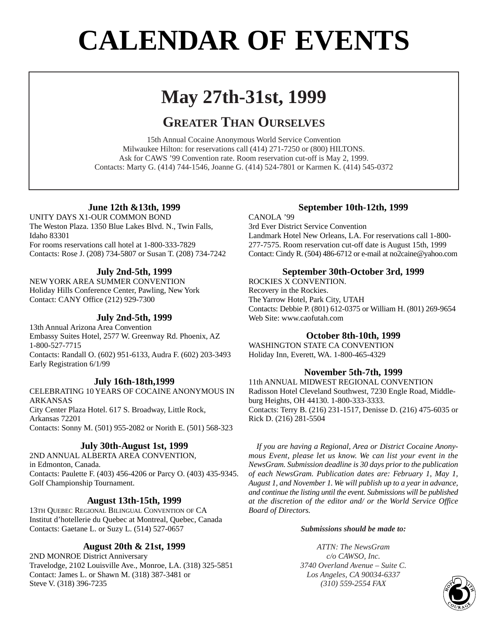# **CALENDAR OF EVENTS**

# **May 27th-31st, 1999**

## **GREATER THAN OURSELVES**

15th Annual Cocaine Anonymous World Service Convention Milwaukee Hilton: for reservations call (414) 271-7250 or (800) HILTONS. Ask for CAWS '99 Convention rate. Room reservation cut-off is May 2, 1999. Contacts: Marty G. (414) 744-1546, Joanne G. (414) 524-7801 or Karmen K. (414) 545-0372

## **June 12th &13th, 1999**

UNITY DAYS X1-OUR COMMON BOND The Weston Plaza. 1350 Blue Lakes Blvd. N., Twin Falls, Idaho 83301

For rooms reservations call hotel at 1-800-333-7829 Contacts: Rose J. (208) 734-5807 or Susan T. (208) 734-7242

## **July 2nd-5th, 1999**

NEW YORK AREA SUMMER CONVENTION Holiday Hills Conference Center, Pawling, New York Contact: CANY Office (212) 929-7300

## **July 2nd-5th, 1999**

13th Annual Arizona Area Convention Embassy Suites Hotel, 2577 W. Greenway Rd. Phoenix, AZ 1-800-527-7715 Contacts: Randall O. (602) 951-6133, Audra F. (602) 203-3493 Early Registration 6/1/99

## **July 16th-18th,1999**

CELEBRATING 10 YEARS OF COCAINE ANONYMOUS IN ARKANSAS City Center Plaza Hotel. 617 S. Broadway, Little Rock, Arkansas 72201 Contacts: Sonny M. (501) 955-2082 or Norith E. (501) 568-323

### **July 30th-August 1st, 1999**

2ND ANNUAL ALBERTA AREA CONVENTION, in Edmonton, Canada. Contacts: Paulette F. (403) 456-4206 or Parcy O. (403) 435-9345. Golf Championship Tournament.

## **August 13th-15th, 1999**

13TH QUEBEC REGIONAL BILINGUAL CONVENTION OF CA Institut d'hotellerie du Quebec at Montreal, Quebec, Canada Contacts: Gaetane L. or Suzy L. (514) 527-0657

## **August 20th & 21st, 1999**

2ND MONROE District Anniversary Travelodge, 2102 Louisville Ave., Monroe, LA. (318) 325-5851 Contact: James L. or Shawn M. (318) 387-3481 or Steve V. (318) 396-7235

## **September 10th-12th, 1999**

CANOLA '99 3rd Ever District Service Convention Landmark Hotel New Orleans, LA. For reservations call 1-800- 277-7575. Room reservation cut-off date is August 15th, 1999 Contact: Cindy R. (504) 486-6712 or e-mail at no2caine@yahoo.com

### **September 30th-October 3rd, 1999**

ROCKIES X CONVENTION. Recovery in the Rockies. The Yarrow Hotel, Park City, UTAH Contacts: Debbie P. (801) 612-0375 or William H. (801) 269-9654 Web Site: www.caofutah.com

### **October 8th-10th, 1999**

WASHINGTON STATE CA CONVENTION Holiday Inn, Everett, WA. 1-800-465-4329

## **November 5th-7th, 1999**

11th ANNUAL MIDWEST REGIONAL CONVENTION Radisson Hotel Cleveland Southwest, 7230 Engle Road, Middleburg Heights, OH 44130. 1-800-333-3333. Contacts: Terry B. (216) 231-1517, Denisse D. (216) 475-6035 or Rick D. (216) 281-5504

*If you are having a Regional, Area or District Cocaine Anonymous Event, please let us know. We can list your event in the NewsGram. Submission deadline is 30 days prior to the publication of each NewsGram. Publication dates are: February 1, May 1, August 1, and November 1. We will publish up to a year in advance, and continue the listing until the event. Submissions will be published at the discretion of the editor and/ or the World Service Office Board of Directors.*

### *Submissions should be made to:*

*ATTN: The NewsGram c/o CAWSO, Inc. 3740 Overland Avenue – Suite C. Los Angeles, CA 90034-6337 (310) 559-2554 FAX* 

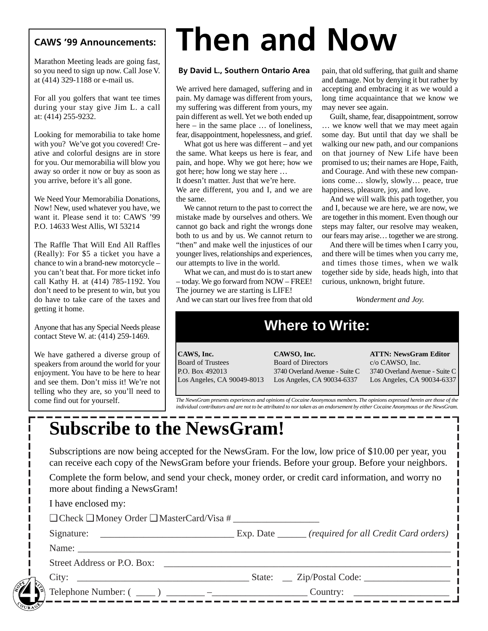## **CAWS '99 Announcements:**

Marathon Meeting leads are going fast, so you need to sign up now. Call Jose V. at (414) 329-1188 or e-mail us.

For all you golfers that want tee times during your stay give Jim L. a call at: (414) 255-9232.

Looking for memorabilia to take home with you? We've got you covered! Creative and colorful designs are in store for you. Our memorabilia will blow you away so order it now or buy as soon as you arrive, before it's all gone.

We Need Your Memorabilia Donations, Now! New, used whatever you have, we want it. Please send it to: CAWS '99 P.O. 14633 West Allis, WI 53214

The Raffle That Will End All Raffles (Really): For \$5 a ticket you have a chance to win a brand-new motorcycle – you can't beat that. For more ticket info call Kathy H. at (414) 785-1192. You don't need to be present to win, but you do have to take care of the taxes and getting it home.

Anyone that has any Special Needs please contact Steve W. at: (414) 259-1469.

We have gathered a diverse group of speakers from around the world for your enjoyment. You have to be here to hear and see them. Don't miss it! We're not telling who they are, so you'll need to come find out for yourself.

# **Then and Now**

### **By David L., Southern Ontario Area**

We arrived here damaged, suffering and in pain. My damage was different from yours, my suffering was different from yours, my pain different as well. Yet we both ended up here – in the same place ... of loneliness, fear, disappointment, hopelessness, and grief.

What got us here was different – and yet the same. What keeps us here is fear, and pain, and hope. Why we got here; how we got here; how long we stay here …

It doesn't matter. Just that we're here. We are different, you and I, and we are the same.

We cannot return to the past to correct the mistake made by ourselves and others. We cannot go back and right the wrongs done both to us and by us. We cannot return to "then" and make well the injustices of our younger lives, relationships and experiences, our attempts to live in the world.

What we can, and must do is to start anew – today. We go forward from NOW – FREE! The journey we are starting is LIFE! And we can start our lives free from that old pain, that old suffering, that guilt and shame and damage. Not by denying it but rather by accepting and embracing it as we would a long time acquaintance that we know we may never see again.

Guilt, shame, fear, disappointment, sorrow … we know well that we may meet again some day. But until that day we shall be walking our new path, and our companions on that journey of New Life have been promised to us; their names are Hope, Faith, and Courage. And with these new companions come… slowly, slowly… peace, true happiness, pleasure, joy, and love.

And we will walk this path together, you and I, because we are here, we are now, we are together in this moment. Even though our steps may falter, our resolve may weaken, our fears may arise… together we are strong.

And there will be times when I carry you, and there will be times when you carry me, and times those times, when we walk together side by side, heads high, into that curious, unknown, bright future.

*Wonderment and Joy.*

## **Where to Write:**

**CAWS, Inc.** Board of Trustees P.O. Box 492013 Los Angeles, CA 90049-8013 **CAWSO, Inc.** Board of Directors 3740 Overland Avenue - Suite C Los Angeles, CA 90034-6337

**ATTN: NewsGram Editor** c/o CAWSO, Inc. 3740 Overland Avenue - Suite C Los Angeles, CA 90034-6337

*The NewsGram presents experiences and opinions of Cocaine Anonymous members. The opinions expressed herein are those of the individual contributors and are not to be attributed to nor taken as an endorsement by either Cocaine Anonymous or the NewsGram.*

# **Subscribe to the NewsGram!**

Subscriptions are now being accepted for the NewsGram. For the low, low price of \$10.00 per year, you can receive each copy of the NewsGram before your friends. Before your group. Before your neighbors.

Complete the form below, and send your check, money order, or credit card information, and worry no more about finding a NewsGram!

|        | I have enclosed my:                                      |                                       |
|--------|----------------------------------------------------------|---------------------------------------|
|        | $\Box$ Check $\Box$ Money Order $\Box$ MasterCard/Visa # |                                       |
|        |                                                          |                                       |
|        | Name:                                                    |                                       |
|        | Street Address or P.O. Box:                              |                                       |
|        | City:                                                    | State: __ Zip/Postal Code: __________ |
|        |                                                          | Country:                              |
| OURASY |                                                          |                                       |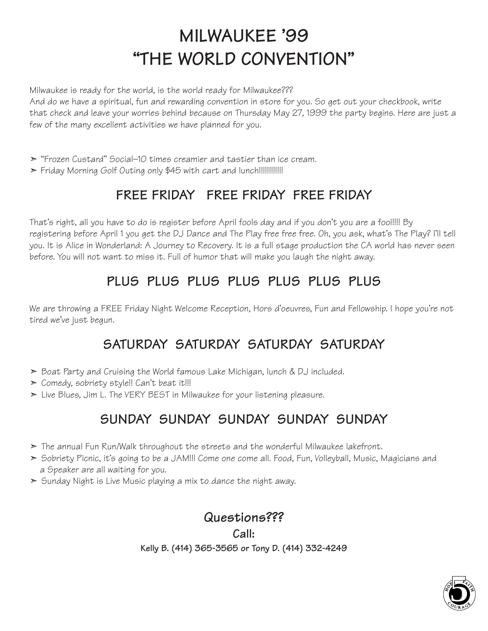# **MILWAUKEE '99 "THE WORLD CONVENTION"**

Milwaukee is ready for the world, is the world ready for Milwaukee???

And do we have a spiritual, fun and rewarding convention in store for you. So get out your checkbook, write that check and leave your worries behind because on Thursday May 27, 1999 the party begins. Here are just a few of the many excellent activities we have planned for you.

- ➣ "Frozen Custard" Social–10 times creamier and tastier than ice cream.
- ► Friday Morning Golf Outing only \$45 with cart and lunch!!!!!!!!!!!!!

## **FREE FRIDAY FREE FRIDAY FREE FRIDAY**

That's right, all you have to do is register before April fools day and if you don't you are a fool!!!! By registering before April 1 you get the DJ Dance and The Play free free free. Oh, you ask, what's The Play? I'll tell you. It is Alice in Wonderland: A Journey to Recovery. It is a full stage production the CA world has never seen before. You will not want to miss it. Full of humor that will make you laugh the night away.

## **PLUS PLUS PLUS PLUS PLUS PLUS PLUS**

We are throwing a FREE Friday Night Welcome Reception, Hors d'oeuvres, Fun and Fellowship. I hope you're not tired we've just begun.

## **SATURDAY SATURDAY SATURDAY SATURDAY**

- ➣ Boat Party and Cruising the World famous Lake Michigan, lunch & DJ included.
- $\geq$  Comedy, sobriety style!! Can't beat it!!!
- ➣ Live Blues, Jim L. The VERY BEST in Milwaukee for your listening pleasure.

## **SUNDAY SUNDAY SUNDAY SUNDAY SUNDAY**

- ➣ The annual Fun Run/Walk throughout the streets and the wonderful Milwaukee lakefront.
- ➣ Sobriety Picnic, it's going to be a JAM!!! Come one come all. Food, Fun, Volleyball, Music, Magicians and a Speaker are all waiting for you.
- $\geq$  Sunday Night is Live Music playing a mix to dance the night away.

## **Questions???**

**Call: Kelly B. (414) 365-3565 or Tony D. (414) 332-4249** 

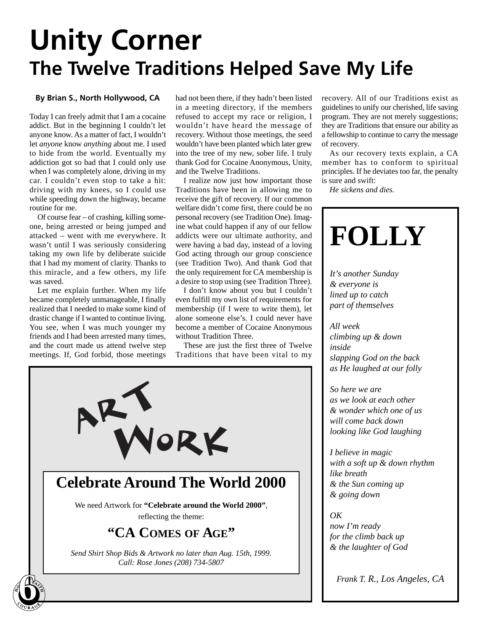# **Unity Corner The Twelve Traditions Helped Save My Life**

### **By Brian S., North Hollywood, CA**

Today I can freely admit that I am a cocaine addict. But in the beginning I couldn't let anyone know. As a matter of fact, I wouldn't let *anyone* know *anything* about me. I used to hide from the world. Eventually my addiction got so bad that I could only use when I was completely alone, driving in my car. I couldn't even stop to take a hit: driving with my knees, so I could use while speeding down the highway, became routine for me.

Of course fear – of crashing, killing someone, being arrested or being jumped and attacked – went with me everywhere. It wasn't until I was seriously considering taking my own life by deliberate suicide that I had my moment of clarity. Thanks to this miracle, and a few others, my life was saved.

Let me explain further. When my life became completely unmanageable, I finally realized that I needed to make some kind of drastic change if I wanted to continue living. You see, when I was much younger my friends and I had been arrested many times, and the court made us attend twelve step meetings. If, God forbid, those meetings

had not been there, if they hadn't been listed in a meeting directory, if the members refused to accept my race or religion, I wouldn't have heard the message of recovery. Without those meetings, the seed wouldn't have been planted which later grew into the tree of my new, sober life. I truly thank God for Cocaine Anonymous, Unity, and the Twelve Traditions.

I realize now just how important those Traditions have been in allowing me to receive the gift of recovery. If our common welfare didn't come first, there could be no personal recovery (see Tradition One). Imagine what could happen if any of our fellow addicts were our ultimate authority, and were having a bad day, instead of a loving God acting through our group conscience (see Tradition Two). And thank God that the only requirement for CA membership is a desire to stop using (see Tradition Three).

I don't know about you but I couldn't even fulfill my own list of requirements for membership (if I were to write them), let alone someone else's. I could never have become a member of Cocaine Anonymous without Tradition Three.

These are just the first three of Twelve Traditions that have been vital to my



recovery. All of our Traditions exist as guidelines to unify our cherished, life saving program. They are not merely suggestions; they are Traditions that ensure our ability as a fellowship to continue to carry the message of recovery.

As our recovery texts explain, a CA member has to conform to spiritual principles. If he deviates too far, the penalty is sure and swift:

*He sickens and dies.*

## **FOLLY** *It's another Sunday & everyone is lined up to catch part of themselves All week climbing up & down inside*

*slapping God on the back as He laughed at our folly*

*So here we are as we look at each other & wonder which one of us will come back down looking like God laughing*

*I believe in magic with a soft up & down rhythm like breath & the Sun coming up & going down* 

*OK*

*now I'm ready for the climb back up & the laughter of God*

*Frank T. R., Los Angeles, CA*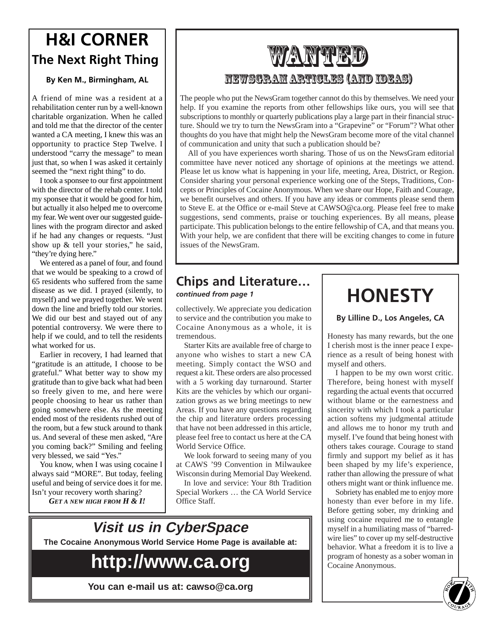## **H&I CORNER The Next Right Thing**

### **By Ken M., Birmingham, AL**

A friend of mine was a resident at a rehabilitation center run by a well-known charitable organization. When he called and told me that the director of the center wanted a CA meeting, I knew this was an opportunity to practice Step Twelve. I understood "carry the message" to mean just that, so when I was asked it certainly seemed the "next right thing" to do.

I took a sponsee to our first appointment with the director of the rehab center. I told my sponsee that it would be good for him, but actually it also helped me to overcome my fear. We went over our suggested guidelines with the program director and asked if he had any changes or requests. "Just show up & tell your stories," he said, "they're dying here."

We entered as a panel of four, and found that we would be speaking to a crowd of 65 residents who suffered from the same disease as we did. I prayed (silently, to myself) and we prayed together. We went down the line and briefly told our stories. We did our best and stayed out of any potential controversy. We were there to help if we could, and to tell the residents what worked for us.

Earlier in recovery, I had learned that "gratitude is an attitude, I choose to be grateful." What better way to show my gratitude than to give back what had been so freely given to me, and here were people choosing to hear us rather than going somewhere else. As the meeting ended most of the residents rushed out of the room, but a few stuck around to thank us. And several of these men asked, "Are you coming back?" Smiling and feeling very blessed, we said "Yes."

You know, when I was using cocaine I always said "MORE". But today, feeling useful and being of service does it for me. Isn't your recovery worth sharing?

*GET A NEW HIGH FROM H & I!*

## **ZANNY THE** NewsGram Articles (And Ideas)

The people who put the NewsGram together cannot do this by themselves. We need your help. If you examine the reports from other fellowships like ours, you will see that subscriptions to monthly or quarterly publications play a large part in their financial structure. Should we try to turn the NewsGram into a "Grapevine" or "Forum"? What other thoughts do you have that might help the NewsGram become more of the vital channel of communication and unity that such a publication should be?

All of you have experiences worth sharing. Those of us on the NewsGram editorial committee have never noticed any shortage of opinions at the meetings we attend. Please let us know what is happening in your life, meeting, Area, District, or Region. Consider sharing your personal experience working one of the Steps, Traditions, Concepts or Principles of Cocaine Anonymous. When we share our Hope, Faith and Courage, we benefit ourselves and others. If you have any ideas or comments please send them to Steve E. at the Office or e-mail Steve at CAWSO@ca.org. Please feel free to make suggestions, send comments, praise or touching experiences. By all means, please participate. This publication belongs to the entire fellowship of CA, and that means you. With your help, we are confident that there will be exciting changes to come in future issues of the NewsGram.

## **Chips and Literature…**

collectively. We appreciate you dedication to service and the contribution you make to Cocaine Anonymous as a whole, it is tremendous.

Starter Kits are available free of charge to anyone who wishes to start a new CA meeting. Simply contact the WSO and request a kit. These orders are also processed with a 5 working day turnaround. Starter Kits are the vehicles by which our organization grows as we bring meetings to new Areas. If you have any questions regarding the chip and literature orders processing that have not been addressed in this article, please feel free to contact us here at the CA World Service Office.

We look forward to seeing many of you at CAWS '99 Convention in Milwaukee Wisconsin during Memorial Day Weekend.

In love and service: Your 8th Tradition Special Workers … the CA World Service Office Staff.

## **Visit us in CyberSpace The Cocaine Anonymous World Service Home Page is available at:**

## **http://www.ca.org**

**You can e-mail us at: cawso@ca.org**

# *continued from page 1* **HONESTY**

**By Lilline D., Los Angeles, CA**

Honesty has many rewards, but the one I cherish most is the inner peace I experience as a result of being honest with myself and others.

I happen to be my own worst critic. Therefore, being honest with myself regarding the actual events that occurred without blame or the earnestness and sincerity with which I took a particular action softens my judgmental attitude and allows me to honor my truth and myself. I've found that being honest with others takes courage. Courage to stand firmly and support my belief as it has been shaped by my life's experience, rather than allowing the pressure of what others might want or think influence me.

Sobriety has enabled me to enjoy more honesty than ever before in my life. Before getting sober, my drinking and using cocaine required me to entangle myself in a humiliating mass of "barredwire lies" to cover up my self-destructive behavior. What a freedom it is to live a program of honesty as a sober woman in Cocaine Anonymous.